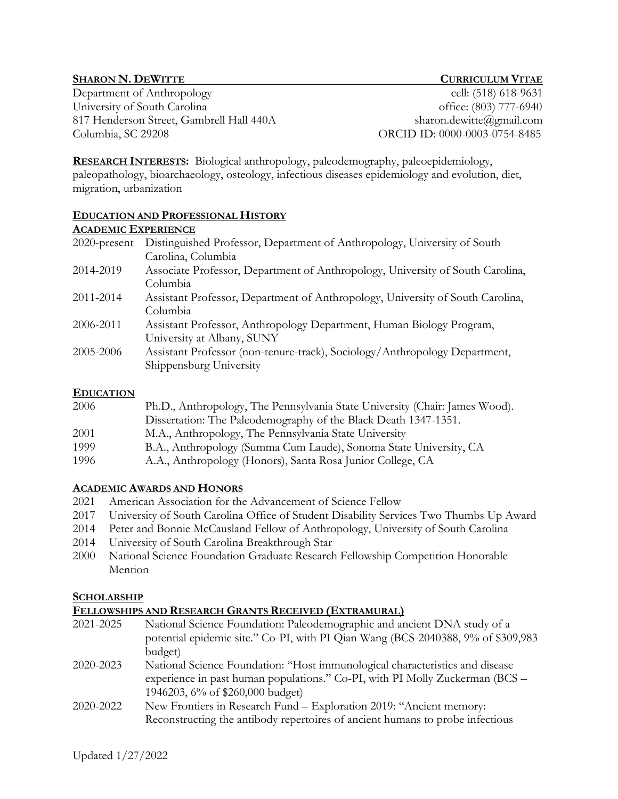## **SHARON N. DEWITTE CURRICULUM VITAE**

Department of Anthropology cell: (518) 618-9631 University of South Carolina office: (803) 777-6940 817 Henderson Street, Gambrell Hall 440A sharon.dewitte@gmail.com Columbia, SC 29208 ORCID ID: 0000-0003-0754-8485

**RESEARCH INTERESTS:** Biological anthropology, paleodemography, paleoepidemiology, paleopathology, bioarchaeology, osteology, infectious diseases epidemiology and evolution, diet, migration, urbanization

#### **EDUCATION AND PROFESSIONAL HISTORY**

#### **ACADEMIC EXPERIENCE**

| 2020-present | Distinguished Professor, Department of Anthropology, University of South<br>Carolina, Columbia        |
|--------------|-------------------------------------------------------------------------------------------------------|
| 2014-2019    | Associate Professor, Department of Anthropology, University of South Carolina,<br>Columbia            |
| 2011-2014    | Assistant Professor, Department of Anthropology, University of South Carolina,<br>Columbia            |
| 2006-2011    | Assistant Professor, Anthropology Department, Human Biology Program,<br>University at Albany, SUNY    |
| 2005-2006    | Assistant Professor (non-tenure-track), Sociology/Anthropology Department,<br>Shippensburg University |

## **EDUCATION**

| Ph.D., Anthropology, The Pennsylvania State University (Chair: James Wood). |
|-----------------------------------------------------------------------------|
|                                                                             |
|                                                                             |
| B.A., Anthropology (Summa Cum Laude), Sonoma State University, CA           |
|                                                                             |
|                                                                             |

# **ACADEMIC AWARDS AND HONORS**

- 2021 American Association for the Advancement of Science Fellow
- 2017 University of South Carolina Office of Student Disability Services Two Thumbs Up Award
- 2014 Peter and Bonnie McCausland Fellow of Anthropology, University of South Carolina
- 2014 University of South Carolina Breakthrough Star
- 2000 National Science Foundation Graduate Research Fellowship Competition Honorable Mention

# **SCHOLARSHIP**

# **FELLOWSHIPS AND RESEARCH GRANTS RECEIVED (EXTRAMURAL)**

- 2021-2025 National Science Foundation: Paleodemographic and ancient DNA study of a potential epidemic site." Co-PI, with PI Qian Wang (BCS-2040388, 9% of \$309,983 budget)
- 2020-2023 National Science Foundation: "Host immunological characteristics and disease experience in past human populations." Co-PI, with PI Molly Zuckerman (BCS – 1946203, 6% of \$260,000 budget)
- 2020-2022 New Frontiers in Research Fund Exploration 2019: "Ancient memory: Reconstructing the antibody repertoires of ancient humans to probe infectious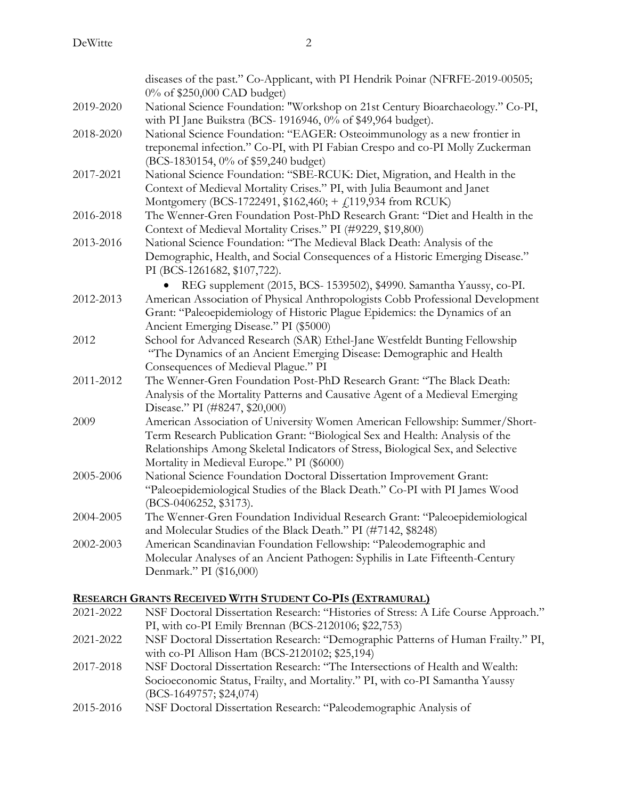|           | diseases of the past." Co-Applicant, with PI Hendrik Poinar (NFRFE-2019-00505;<br>0% of \$250,000 CAD budget)                                                                                                                                                                                 |
|-----------|-----------------------------------------------------------------------------------------------------------------------------------------------------------------------------------------------------------------------------------------------------------------------------------------------|
| 2019-2020 | National Science Foundation: "Workshop on 21st Century Bioarchaeology." Co-PI,<br>with PI Jane Buikstra (BCS-1916946, 0% of \$49,964 budget).                                                                                                                                                 |
| 2018-2020 | National Science Foundation: "EAGER: Osteoimmunology as a new frontier in<br>treponemal infection." Co-PI, with PI Fabian Crespo and co-PI Molly Zuckerman<br>(BCS-1830154, 0% of \$59,240 budget)                                                                                            |
| 2017-2021 | National Science Foundation: "SBE-RCUK: Diet, Migration, and Health in the<br>Context of Medieval Mortality Crises." PI, with Julia Beaumont and Janet<br>Montgomery (BCS-1722491, \$162,460; + £119,934 from RCUK)                                                                           |
| 2016-2018 | The Wenner-Gren Foundation Post-PhD Research Grant: "Diet and Health in the<br>Context of Medieval Mortality Crises." PI (#9229, \$19,800)                                                                                                                                                    |
| 2013-2016 | National Science Foundation: "The Medieval Black Death: Analysis of the<br>Demographic, Health, and Social Consequences of a Historic Emerging Disease."<br>PI (BCS-1261682, \$107,722).                                                                                                      |
| 2012-2013 | REG supplement (2015, BCS- 1539502), \$4990. Samantha Yaussy, co-PI.<br>American Association of Physical Anthropologists Cobb Professional Development<br>Grant: "Paleoepidemiology of Historic Plague Epidemics: the Dynamics of an<br>Ancient Emerging Disease." PI (\$5000)                |
| 2012      | School for Advanced Research (SAR) Ethel-Jane Westfeldt Bunting Fellowship<br>"The Dynamics of an Ancient Emerging Disease: Demographic and Health<br>Consequences of Medieval Plague." PI                                                                                                    |
| 2011-2012 | The Wenner-Gren Foundation Post-PhD Research Grant: "The Black Death:<br>Analysis of the Mortality Patterns and Causative Agent of a Medieval Emerging<br>Disease." PI (#8247, \$20,000)                                                                                                      |
| 2009      | American Association of University Women American Fellowship: Summer/Short-<br>Term Research Publication Grant: "Biological Sex and Health: Analysis of the<br>Relationships Among Skeletal Indicators of Stress, Biological Sex, and Selective<br>Mortality in Medieval Europe." PI (\$6000) |
| 2005-2006 | National Science Foundation Doctoral Dissertation Improvement Grant:<br>"Paleoepidemiological Studies of the Black Death." Co-PI with PI James Wood<br>(BCS-0406252, \$3173).                                                                                                                 |
| 2004-2005 | The Wenner-Gren Foundation Individual Research Grant: "Paleoepidemiological<br>and Molecular Studies of the Black Death." PI (#7142, \$8248)                                                                                                                                                  |
| 2002-2003 | American Scandinavian Foundation Fellowship: "Paleodemographic and<br>Molecular Analyses of an Ancient Pathogen: Syphilis in Late Fifteenth-Century<br>Denmark." PI (\$16,000)                                                                                                                |

# **RESEARCH GRANTS RECEIVED WITH STUDENT CO-PIS (EXTRAMURAL)**

| NSF Doctoral Dissertation Research: "Histories of Stress: A Life Course Approach." |
|------------------------------------------------------------------------------------|
| PI, with co-PI Emily Brennan (BCS-2120106; \$22,753)                               |
| NSF Doctoral Dissertation Research: "Demographic Patterns of Human Frailty." PI,   |
| with co-PI Allison Ham (BCS-2120102; \$25,194)                                     |
| NSF Doctoral Dissertation Research: "The Intersections of Health and Wealth:       |
| Socioeconomic Status, Frailty, and Mortality." PI, with co-PI Samantha Yaussy      |
| $(BCS-1649757; $24,074)$                                                           |
| NSF Doctoral Dissertation Research: "Paleodemographic Analysis of                  |
|                                                                                    |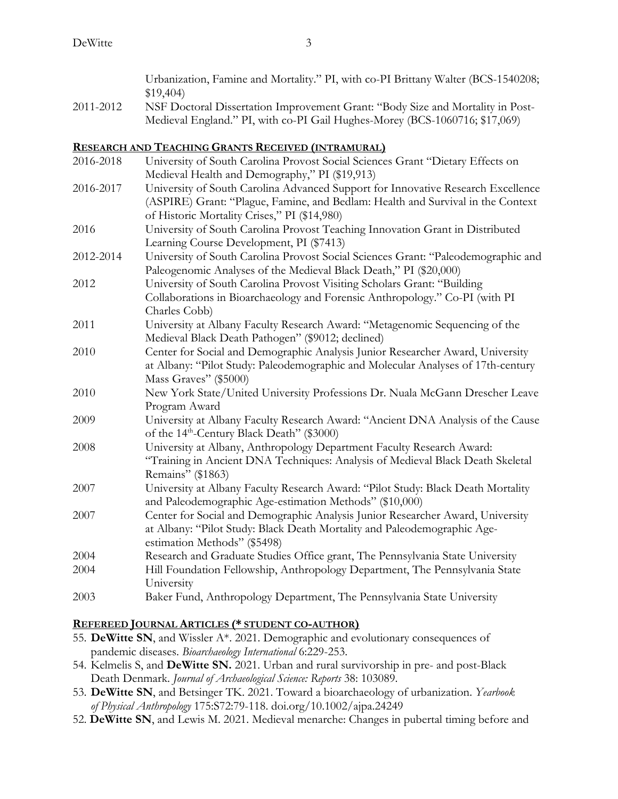|           | Urbanization, Famine and Mortality." PI, with co-PI Brittany Walter (BCS-1540208;<br>\$19,404                                                                                                                                                                                                                                      |
|-----------|------------------------------------------------------------------------------------------------------------------------------------------------------------------------------------------------------------------------------------------------------------------------------------------------------------------------------------|
| 2011-2012 | NSF Doctoral Dissertation Improvement Grant: "Body Size and Mortality in Post-                                                                                                                                                                                                                                                     |
|           | Medieval England." PI, with co-PI Gail Hughes-Morey (BCS-1060716; \$17,069)                                                                                                                                                                                                                                                        |
|           | <u>Research and Teaching Grants Received (intramural)</u>                                                                                                                                                                                                                                                                          |
| 2016-2018 | University of South Carolina Provost Social Sciences Grant "Dietary Effects on                                                                                                                                                                                                                                                     |
|           | Medieval Health and Demography," PI (\$19,913)                                                                                                                                                                                                                                                                                     |
| 2016-2017 | University of South Carolina Advanced Support for Innovative Research Excellence                                                                                                                                                                                                                                                   |
|           | (ASPIRE) Grant: "Plague, Famine, and Bedlam: Health and Survival in the Context                                                                                                                                                                                                                                                    |
|           | of Historic Mortality Crises," PI (\$14,980)                                                                                                                                                                                                                                                                                       |
| 2016      | University of South Carolina Provost Teaching Innovation Grant in Distributed                                                                                                                                                                                                                                                      |
|           | Learning Course Development, PI (\$7413)                                                                                                                                                                                                                                                                                           |
| 2012-2014 | University of South Carolina Provost Social Sciences Grant: "Paleodemographic and                                                                                                                                                                                                                                                  |
|           | Paleogenomic Analyses of the Medieval Black Death," PI (\$20,000)                                                                                                                                                                                                                                                                  |
| 2012      | University of South Carolina Provost Visiting Scholars Grant: "Building                                                                                                                                                                                                                                                            |
|           | Collaborations in Bioarchaeology and Forensic Anthropology." Co-PI (with PI                                                                                                                                                                                                                                                        |
|           | Charles Cobb)                                                                                                                                                                                                                                                                                                                      |
| 2011      | University at Albany Faculty Research Award: "Metagenomic Sequencing of the                                                                                                                                                                                                                                                        |
|           | Medieval Black Death Pathogen" (\$9012; declined)                                                                                                                                                                                                                                                                                  |
| 2010      | Center for Social and Demographic Analysis Junior Researcher Award, University                                                                                                                                                                                                                                                     |
|           | at Albany: "Pilot Study: Paleodemographic and Molecular Analyses of 17th-century                                                                                                                                                                                                                                                   |
|           | Mass Graves" (\$5000)                                                                                                                                                                                                                                                                                                              |
| 2010      | New York State/United University Professions Dr. Nuala McGann Drescher Leave                                                                                                                                                                                                                                                       |
|           | Program Award                                                                                                                                                                                                                                                                                                                      |
| 2009      | University at Albany Faculty Research Award: "Ancient DNA Analysis of the Cause                                                                                                                                                                                                                                                    |
|           | of the 14 <sup>th</sup> -Century Black Death" (\$3000)                                                                                                                                                                                                                                                                             |
| 2000      | $\mathbf{H}$ $\mathbf{H}$ $\mathbf{H}$ $\mathbf{H}$ $\mathbf{H}$ $\mathbf{H}$ $\mathbf{H}$ $\mathbf{H}$ $\mathbf{H}$ $\mathbf{H}$ $\mathbf{H}$ $\mathbf{H}$ $\mathbf{H}$ $\mathbf{H}$ $\mathbf{H}$ $\mathbf{H}$ $\mathbf{H}$ $\mathbf{H}$ $\mathbf{H}$ $\mathbf{H}$ $\mathbf{H}$ $\mathbf{H}$ $\mathbf{H}$ $\mathbf{H}$ $\mathbf{$ |

- 2008 University at Albany, Anthropology Department Faculty Research Award: "Training in Ancient DNA Techniques: Analysis of Medieval Black Death Skeletal Remains" (\$1863)
- 2007 University at Albany Faculty Research Award: "Pilot Study: Black Death Mortality and Paleodemographic Age-estimation Methods" (\$10,000)
- 2007 Center for Social and Demographic Analysis Junior Researcher Award, University at Albany: "Pilot Study: Black Death Mortality and Paleodemographic Ageestimation Methods" (\$5498)
- 2004 Research and Graduate Studies Office grant, The Pennsylvania State University 2004 Hill Foundation Fellowship, Anthropology Department, The Pennsylvania State University
- 2003 Baker Fund, Anthropology Department, The Pennsylvania State University

# **REFEREED JOURNAL ARTICLES (\* STUDENT CO-AUTHOR)**

- 55. **DeWitte SN**, and Wissler A\*. 2021. Demographic and evolutionary consequences of pandemic diseases. *Bioarchaeology International* 6:229-253.
- 54. Kelmelis S, and **DeWitte SN.** 2021. Urban and rural survivorship in pre- and post-Black Death Denmark. *Journal of Archaeological Science: Reports* 38: 103089.
- 53. **DeWitte SN**, and Betsinger TK. 2021. Toward a bioarchaeology of urbanization. *Yearbook of Physical Anthropology* 175:S72:79-118. doi.org/10.1002/ajpa.24249
- 52. **DeWitte SN**, and Lewis M. 2021. Medieval menarche: Changes in pubertal timing before and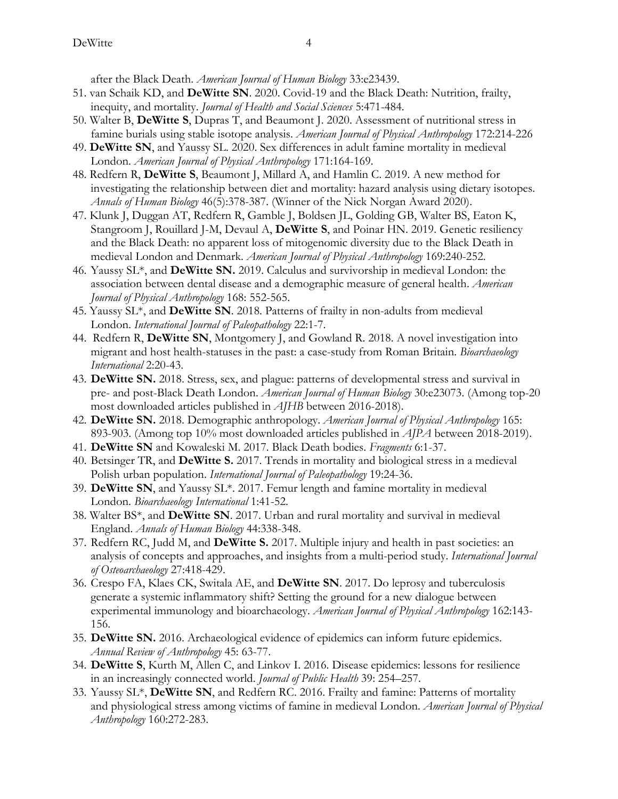after the Black Death. *American Journal of Human Biology* 33:e23439.

- 51. van Schaik KD, and **DeWitte SN**. 2020. Covid-19 and the Black Death: Nutrition, frailty, inequity, and mortality. *Journal of Health and Social Sciences* 5:471-484.
- 50. Walter B, **DeWitte S**, Dupras T, and Beaumont J. 2020. Assessment of nutritional stress in famine burials using stable isotope analysis. *American Journal of Physical Anthropology* 172:214-226
- 49. **DeWitte SN**, and Yaussy SL. 2020. Sex differences in adult famine mortality in medieval London. *American Journal of Physical Anthropology* 171:164-169.
- 48. Redfern R, **DeWitte S**, Beaumont J, Millard A, and Hamlin C. 2019. A new method for investigating the relationship between diet and mortality: hazard analysis using dietary isotopes. *Annals of Human Biology* 46(5):378-387. (Winner of the Nick Norgan Award 2020).
- 47. Klunk J, Duggan AT, Redfern R, Gamble J, Boldsen JL, Golding GB, Walter BS, Eaton K, Stangroom J, Rouillard J-M, Devaul A, **DeWitte S**, and Poinar HN. 2019. Genetic resiliency and the Black Death: no apparent loss of mitogenomic diversity due to the Black Death in medieval London and Denmark. *American Journal of Physical Anthropology* 169:240-252.
- 46. Yaussy SL\*, and **DeWitte SN.** 2019. Calculus and survivorship in medieval London: the association between dental disease and a demographic measure of general health. *American Journal of Physical Anthropology* 168: 552-565.
- 45. Yaussy SL\*, and **DeWitte SN**. 2018. Patterns of frailty in non-adults from medieval London. *International Journal of Paleopathology* 22:1-7.
- 44. Redfern R, **DeWitte SN**, Montgomery J, and Gowland R. 2018. A novel investigation into migrant and host health-statuses in the past: a case-study from Roman Britain. *Bioarchaeology International* 2:20-43.
- 43. **DeWitte SN.** 2018. Stress, sex, and plague: patterns of developmental stress and survival in pre- and post-Black Death London. *American Journal of Human Biology* 30:e23073. (Among top-20 most downloaded articles published in *AJHB* between 2016-2018).
- 42. **DeWitte SN.** 2018. Demographic anthropology. *American Journal of Physical Anthropology* 165: 893-903. (Among top 10% most downloaded articles published in *AJPA* between 2018-2019).
- 41. **DeWitte SN** and Kowaleski M. 2017. Black Death bodies. *Fragments* 6:1-37.
- 40. Betsinger TR, and **DeWitte S.** 2017. Trends in mortality and biological stress in a medieval Polish urban population. *International Journal of Paleopathology* 19:24-36.
- 39. **DeWitte SN**, and Yaussy SL\*. 2017. Femur length and famine mortality in medieval London. *Bioarchaeology International* 1:41-52.
- 38. Walter BS\*, and **DeWitte SN**. 2017. Urban and rural mortality and survival in medieval England. *Annals of Human Biology* 44:338-348.
- 37. Redfern RC, Judd M, and **DeWitte S.** 2017. Multiple injury and health in past societies: an analysis of concepts and approaches, and insights from a multi-period study. *International Journal of Osteoarchaeology* 27:418-429.
- 36. Crespo FA, Klaes CK, Switala AE, and **DeWitte SN**. 2017. Do leprosy and tuberculosis generate a systemic inflammatory shift? Setting the ground for a new dialogue between experimental immunology and bioarchaeology. *American Journal of Physical Anthropology* 162:143- 156.
- 35. **DeWitte SN.** 2016. Archaeological evidence of epidemics can inform future epidemics. *Annual Review of Anthropology* 45: 63-77.
- 34. **DeWitte S**, Kurth M, Allen C, and Linkov I. 2016. Disease epidemics: lessons for resilience in an increasingly connected world. *Journal of Public Health* 39: 254–257.
- 33. Yaussy SL\*, **DeWitte SN**, and Redfern RC. 2016. Frailty and famine: Patterns of mortality and physiological stress among victims of famine in medieval London. *American Journal of Physical Anthropology* 160:272-283.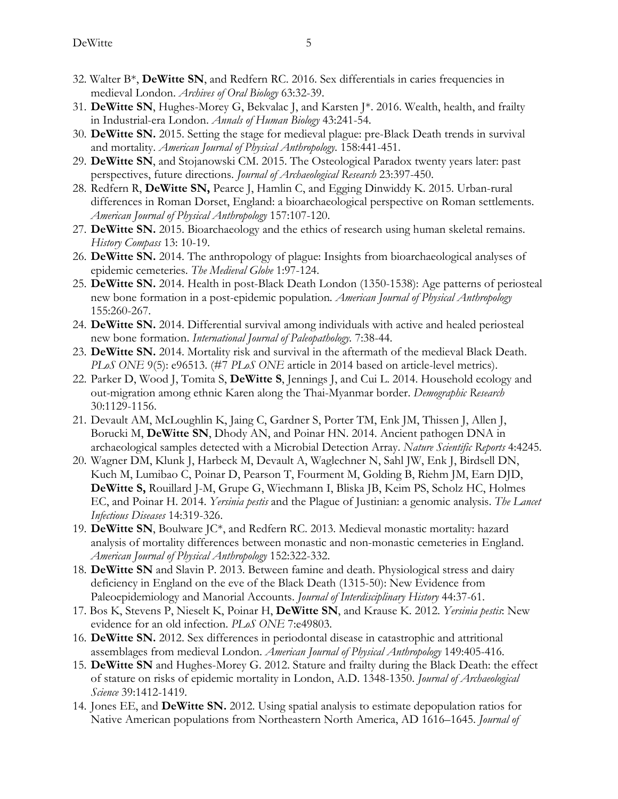- 32. Walter  $B^*$ , **DeWitte SN**, and Redfern RC. 2016. Sex differentials in caries frequencies in medieval London. *Archives of Oral Biology* 63:32-39.
- 31. **DeWitte SN**, Hughes-Morey G, Bekvalac J, and Karsten J\*. 2016. Wealth, health, and frailty in Industrial-era London. *Annals of Human Biology* 43:241-54.
- 30. **DeWitte SN.** 2015. Setting the stage for medieval plague: pre-Black Death trends in survival and mortality. *American Journal of Physical Anthropology.* 158:441-451.
- 29. **DeWitte SN**, and Stojanowski CM. 2015. The Osteological Paradox twenty years later: past perspectives, future directions. *Journal of Archaeological Research* 23:397-450.
- 28. Redfern R, **DeWitte SN,** Pearce J, Hamlin C, and Egging Dinwiddy K. 2015. Urban-rural differences in Roman Dorset, England: a bioarchaeological perspective on Roman settlements. *American Journal of Physical Anthropology* 157:107-120.
- 27. **DeWitte SN.** 2015. Bioarchaeology and the ethics of research using human skeletal remains. *History Compass* 13: 10-19.
- 26. **DeWitte SN.** 2014. The anthropology of plague: Insights from bioarchaeological analyses of epidemic cemeteries. *The Medieval Globe* 1:97-124.
- 25. **DeWitte SN.** 2014. Health in post-Black Death London (1350-1538): Age patterns of periosteal new bone formation in a post-epidemic population*. American Journal of Physical Anthropology* 155:260-267.
- 24. **DeWitte SN.** 2014. Differential survival among individuals with active and healed periosteal new bone formation. *International Journal of Paleopathology.* 7:38-44.
- 23. **DeWitte SN.** 2014. Mortality risk and survival in the aftermath of the medieval Black Death. *PLoS ONE* 9(5): e96513. (#7 *PLoS ONE* article in 2014 based on article-level metrics).
- 22. Parker D, Wood J, Tomita S, **DeWitte S**, Jennings J, and Cui L. 2014. Household ecology and out-migration among ethnic Karen along the Thai-Myanmar border. *Demographic Research* 30:1129-1156.
- 21. Devault AM, McLoughlin K, Jaing C, Gardner S, Porter TM, Enk JM, Thissen J, Allen J, Borucki M, **DeWitte SN**, Dhody AN, and Poinar HN. 2014. Ancient pathogen DNA in archaeological samples detected with a Microbial Detection Array. *Nature Scientific Reports* 4:4245.
- 20. Wagner DM, Klunk J, Harbeck M, Devault A, Waglechner N, Sahl JW, Enk J, Birdsell DN, Kuch M, Lumibao C, Poinar D, Pearson T, Fourment M, Golding B, Riehm JM, Earn DJD, **DeWitte S,** Rouillard J-M, Grupe G, Wiechmann I, Bliska JB, Keim PS, Scholz HC, Holmes EC, and Poinar H. 2014. *Yersinia pestis* and the Plague of Justinian: a genomic analysis. *The Lancet Infectious Diseases* 14:319-326.
- 19. **DeWitte SN**, Boulware JC\*, and Redfern RC. 2013. Medieval monastic mortality: hazard analysis of mortality differences between monastic and non-monastic cemeteries in England. *American Journal of Physical Anthropology* 152:322-332.
- 18. **DeWitte SN** and Slavin P. 2013. Between famine and death. Physiological stress and dairy deficiency in England on the eve of the Black Death (1315-50): New Evidence from Paleoepidemiology and Manorial Accounts. *Journal of Interdisciplinary History* 44:37-61.
- 17. Bos K, Stevens P, Nieselt K, Poinar H, **DeWitte SN**, and Krause K. 2012. *Yersinia pestis*: New evidence for an old infection. *PLoS ONE* 7:e49803*.*
- 16. **DeWitte SN.** 2012. Sex differences in periodontal disease in catastrophic and attritional assemblages from medieval London. *American Journal of Physical Anthropology* 149:405-416.
- 15. **DeWitte SN** and Hughes-Morey G. 2012. Stature and frailty during the Black Death: the effect of stature on risks of epidemic mortality in London, A.D. 1348-1350. *Journal of Archaeological Science* 39:1412-1419*.*
- 14. Jones EE, and **DeWitte SN.** 2012. Using spatial analysis to estimate depopulation ratios for Native American populations from Northeastern North America, AD 1616–1645. *Journal of*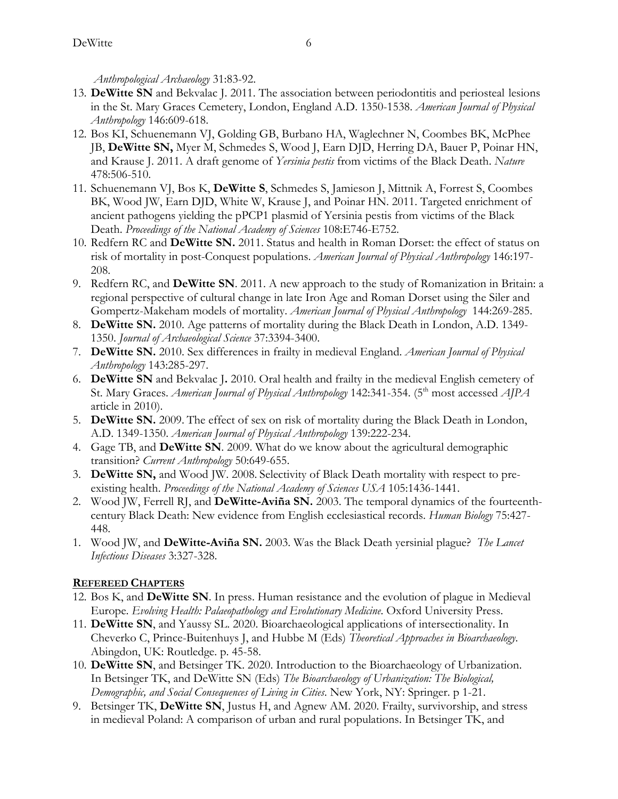*Anthropological Archaeology* 31:83-92.

- 13. **DeWitte SN** and Bekvalac J. 2011. The association between periodontitis and periosteal lesions in the St. Mary Graces Cemetery, London, England A.D. 1350-1538. *American Journal of Physical Anthropology* 146:609-618.
- 12. Bos KI, Schuenemann VJ, Golding GB, Burbano HA, Waglechner N, Coombes BK, McPhee JB, **DeWitte SN,** Myer M, Schmedes S, Wood J, Earn DJD, Herring DA, Bauer P, Poinar HN, and Krause J. 2011. A draft genome of *Yersinia pestis* from victims of the Black Death. *Nature* 478:506-510.
- 11. Schuenemann VJ, Bos K, **DeWitte S**, Schmedes S, Jamieson J, Mittnik A, Forrest S, Coombes BK, Wood JW, Earn DJD, White W, Krause J, and Poinar HN. 2011. Targeted enrichment of ancient pathogens yielding the pPCP1 plasmid of Yersinia pestis from victims of the Black Death. *Proceedings of the National Academy of Sciences* 108:E746-E752.
- 10. Redfern RC and **DeWitte SN.** 2011. Status and health in Roman Dorset: the effect of status on risk of mortality in post-Conquest populations. *American Journal of Physical Anthropology* 146:197- 208.
- 9. Redfern RC, and **DeWitte SN**. 2011. A new approach to the study of Romanization in Britain: a regional perspective of cultural change in late Iron Age and Roman Dorset using the Siler and Gompertz-Makeham models of mortality. *American Journal of Physical Anthropology* 144:269-285.
- 8. **DeWitte SN.** 2010. Age patterns of mortality during the Black Death in London, A.D. 1349- 1350. *Journal of Archaeological Science* 37:3394-3400.
- 7. **DeWitte SN.** 2010. Sex differences in frailty in medieval England. *American Journal of Physical Anthropology* 143:285-297.
- 6. **DeWitte SN** and Bekvalac J**.** 2010. Oral health and frailty in the medieval English cemetery of St. Mary Graces. *American Journal of Physical Anthropology* 142:341-354. (5<sup>th</sup> most accessed *AJPA* article in 2010).
- 5. **DeWitte SN.** 2009. The effect of sex on risk of mortality during the Black Death in London, A.D. 1349-1350. *American Journal of Physical Anthropology* 139:222-234.
- 4. Gage TB, and **DeWitte SN**. 2009. What do we know about the agricultural demographic transition? *Current Anthropology* 50:649-655.
- 3. **DeWitte SN,** and Wood JW. 2008. Selectivity of Black Death mortality with respect to preexisting health. *Proceedings of the National Academy of Sciences USA* 105:1436-1441.
- 2. Wood JW, Ferrell RJ, and **DeWitte-Aviña SN.** 2003. The temporal dynamics of the fourteenthcentury Black Death: New evidence from English ecclesiastical records. *Human Biology* 75:427- 448.
- 1. Wood JW, and **DeWitte-Aviña SN.** 2003. Was the Black Death yersinial plague? *The Lancet Infectious Diseases* 3:327-328.

# **REFEREED CHAPTERS**

- 12. Bos K, and **DeWitte SN**. In press. Human resistance and the evolution of plague in Medieval Europe. *Evolving Health: Palaeopathology and Evolutionary Medicine*. Oxford University Press.
- 11. **DeWitte SN**, and Yaussy SL. 2020. Bioarchaeological applications of intersectionality. In Cheverko C, Prince-Buitenhuys J, and Hubbe M (Eds) *Theoretical Approaches in Bioarchaeology*. Abingdon, UK: Routledge. p. 45-58.
- 10. **DeWitte SN**, and Betsinger TK. 2020. Introduction to the Bioarchaeology of Urbanization. In Betsinger TK, and DeWitte SN (Eds) *The Bioarchaeology of Urbanization: The Biological, Demographic, and Social Consequences of Living in Cities*. New York, NY: Springer. p 1-21.
- 9. Betsinger TK, **DeWitte SN**, Justus H, and Agnew AM. 2020. Frailty, survivorship, and stress in medieval Poland: A comparison of urban and rural populations. In Betsinger TK, and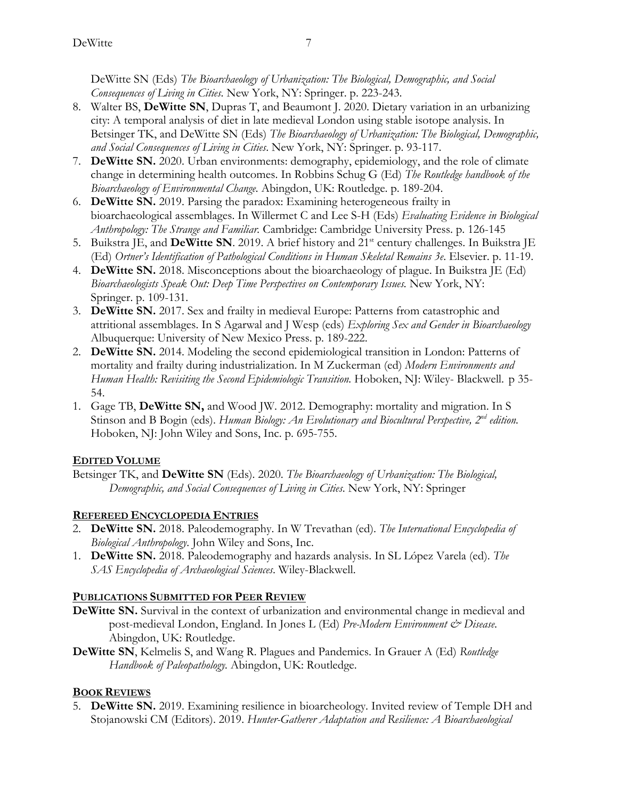DeWitte SN (Eds) *The Bioarchaeology of Urbanization: The Biological, Demographic, and Social Consequences of Living in Cities*. New York, NY: Springer. p. 223-243.

- 8. Walter BS, **DeWitte SN**, Dupras T, and Beaumont J. 2020. Dietary variation in an urbanizing city: A temporal analysis of diet in late medieval London using stable isotope analysis. In Betsinger TK, and DeWitte SN (Eds) *The Bioarchaeology of Urbanization: The Biological, Demographic, and Social Consequences of Living in Cities*. New York, NY: Springer. p. 93-117.
- 7. **DeWitte SN.** 2020. Urban environments: demography, epidemiology, and the role of climate change in determining health outcomes. In Robbins Schug G (Ed) *The Routledge handbook of the Bioarchaeology of Environmental Change.* Abingdon, UK: Routledge. p. 189-204.
- 6. **DeWitte SN.** 2019. Parsing the paradox: Examining heterogeneous frailty in bioarchaeological assemblages. In Willermet C and Lee S-H (Eds) *Evaluating Evidence in Biological Anthropology: The Strange and Familiar.* Cambridge: Cambridge University Press. p. 126-145
- 5. Buikstra JE, and **DeWitte SN**. 2019. A brief history and 21<sup>st</sup> century challenges. In Buikstra JE (Ed) *Ortner's Identification of Pathological Conditions in Human Skeletal Remains 3e*. Elsevier. p. 11-19.
- 4. **DeWitte SN.** 2018. Misconceptions about the bioarchaeology of plague. In Buikstra JE (Ed) *Bioarchaeologists Speak Out: Deep Time Perspectives on Contemporary Issues.* New York, NY: Springer. p. 109-131.
- 3. **DeWitte SN.** 2017. Sex and frailty in medieval Europe: Patterns from catastrophic and attritional assemblages. In S Agarwal and J Wesp (eds) *Exploring Sex and Gender in Bioarchaeology*  Albuquerque: University of New Mexico Press. p. 189-222.
- 2. **DeWitte SN.** 2014. Modeling the second epidemiological transition in London: Patterns of mortality and frailty during industrialization. In M Zuckerman (ed) *Modern Environments and Human Health: Revisiting the Second Epidemiologic Transition.* Hoboken, NJ: Wiley- Blackwell. p 35- 54.
- 1. Gage TB, **DeWitte SN,** and Wood JW. 2012. Demography: mortality and migration. In S Stinson and B Bogin (eds). *Human Biology: An Evolutionary and Biocultural Perspective, 2<sup>nd</sup> edition.* Hoboken, NJ: John Wiley and Sons, Inc. p. 695-755.

# **EDITED VOLUME**

Betsinger TK, and **DeWitte SN** (Eds). 2020. *The Bioarchaeology of Urbanization: The Biological, Demographic, and Social Consequences of Living in Cities*. New York, NY: Springer

# **REFEREED ENCYCLOPEDIA ENTRIES**

- 2. **DeWitte SN.** 2018. Paleodemography. In W Trevathan (ed). *The International Encyclopedia of Biological Anthropology*. John Wiley and Sons, Inc.
- 1. **DeWitte SN.** 2018. Paleodemography and hazards analysis. In SL López Varela (ed). *The SAS Encyclopedia of Archaeological Sciences*. Wiley-Blackwell.

# **PUBLICATIONS SUBMITTED FOR PEER REVIEW**

- **DeWitte SN.** Survival in the context of urbanization and environmental change in medieval and post-medieval London, England. In Jones L (Ed) *Pre-Modern Environment & Disease*. Abingdon, UK: Routledge.
- **DeWitte SN**, Kelmelis S, and Wang R. Plagues and Pandemics. In Grauer A (Ed) *Routledge Handbook of Paleopathology.* Abingdon, UK: Routledge.

# **BOOK REVIEWS**

5. **DeWitte SN.** 2019. Examining resilience in bioarcheology. Invited review of Temple DH and Stojanowski CM (Editors). 2019. *Hunter-Gatherer Adaptation and Resilience: A Bioarchaeological*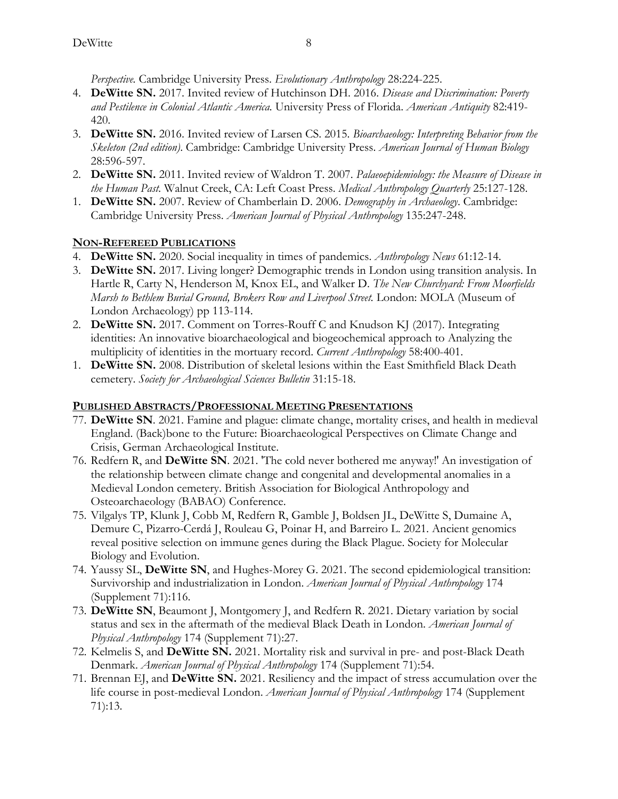*Perspective.* Cambridge University Press. *Evolutionary Anthropology* 28:224-225.

- 4. **DeWitte SN.** 2017. Invited review of Hutchinson DH. 2016. *Disease and Discrimination: Poverty and Pestilence in Colonial Atlantic America.* University Press of Florida. *American Antiquity* 82:419- 420.
- 3. **DeWitte SN.** 2016. Invited review of Larsen CS. 2015. *Bioarchaeology: Interpreting Behavior from the Skeleton (2nd edition)*. Cambridge: Cambridge University Press. *American Journal of Human Biology* 28:596-597.
- 2. **DeWitte SN.** 2011. Invited review of Waldron T. 2007. *Palaeoepidemiology: the Measure of Disease in the Human Past.* Walnut Creek, CA: Left Coast Press. *Medical Anthropology Quarterly* 25:127-128.
- 1. **DeWitte SN.** 2007. Review of Chamberlain D. 2006. *Demography in Archaeology*. Cambridge: Cambridge University Press. *American Journal of Physical Anthropology* 135:247-248.

# **NON-REFEREED PUBLICATIONS**

- 4. **DeWitte SN.** 2020. Social inequality in times of pandemics. *Anthropology News* 61:12-14.
- 3. **DeWitte SN.** 2017. Living longer? Demographic trends in London using transition analysis. In Hartle R, Carty N, Henderson M, Knox EL, and Walker D. *The New Churchyard: From Moorfields Marsh to Bethlem Burial Ground, Brokers Row and Liverpool Street.* London: MOLA (Museum of London Archaeology) pp 113-114.
- 2. **DeWitte SN.** 2017. Comment on Torres-Rouff C and Knudson KJ (2017). Integrating identities: An innovative bioarchaeological and biogeochemical approach to Analyzing the multiplicity of identities in the mortuary record. *Current Anthropology* 58:400-401.
- 1. **DeWitte SN.** 2008. Distribution of skeletal lesions within the East Smithfield Black Death cemetery. *Society for Archaeological Sciences Bulletin* 31:15-18.

# **PUBLISHED ABSTRACTS/PROFESSIONAL MEETING PRESENTATIONS**

- 77. **DeWitte SN**. 2021. Famine and plague: climate change, mortality crises, and health in medieval England. (Back)bone to the Future: Bioarchaeological Perspectives on Climate Change and Crisis, German Archaeological Institute.
- 76. Redfern R, and **DeWitte SN**. 2021. 'The cold never bothered me anyway!' An investigation of the relationship between climate change and congenital and developmental anomalies in a Medieval London cemetery. British Association for Biological Anthropology and Osteoarchaeology (BABAO) Conference.
- 75. Vilgalys TP, Klunk J, Cobb M, Redfern R, Gamble J, Boldsen JL, DeWitte S, Dumaine A, Demure C, Pizarro-Cerdá J, Rouleau G, Poinar H, and Barreiro L. 2021. Ancient genomics reveal positive selection on immune genes during the Black Plague. Society for Molecular Biology and Evolution.
- 74. Yaussy SL, **DeWitte SN**, and Hughes-Morey G. 2021. The second epidemiological transition: Survivorship and industrialization in London. *American Journal of Physical Anthropology* 174 (Supplement 71):116.
- 73. **DeWitte SN**, Beaumont J, Montgomery J, and Redfern R. 2021. Dietary variation by social status and sex in the aftermath of the medieval Black Death in London. *American Journal of Physical Anthropology* 174 (Supplement 71):27.
- 72. Kelmelis S, and **DeWitte SN.** 2021. Mortality risk and survival in pre- and post-Black Death Denmark. *American Journal of Physical Anthropology* 174 (Supplement 71):54.
- 71. Brennan EJ, and **DeWitte SN.** 2021. Resiliency and the impact of stress accumulation over the life course in post-medieval London. *American Journal of Physical Anthropology* 174 (Supplement 71):13.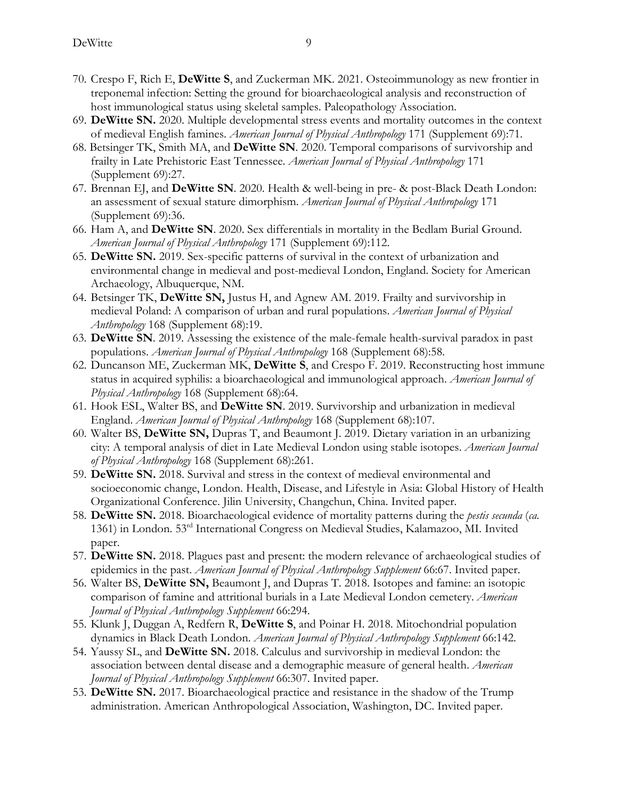- 70. Crespo F, Rich E, **DeWitte S**, and Zuckerman MK. 2021. Osteoimmunology as new frontier in treponemal infection: Setting the ground for bioarchaeological analysis and reconstruction of host immunological status using skeletal samples. Paleopathology Association.
- 69. **DeWitte SN.** 2020. Multiple developmental stress events and mortality outcomes in the context of medieval English famines. *American Journal of Physical Anthropology* 171 (Supplement 69):71.
- 68. Betsinger TK, Smith MA, and **DeWitte SN**. 2020. Temporal comparisons of survivorship and frailty in Late Prehistoric East Tennessee. *American Journal of Physical Anthropology* 171 (Supplement 69):27.
- 67. Brennan EJ, and **DeWitte SN**. 2020. Health & well-being in pre- & post-Black Death London: an assessment of sexual stature dimorphism. *American Journal of Physical Anthropology* 171 (Supplement 69):36.
- 66. Ham A, and **DeWitte SN**. 2020. Sex differentials in mortality in the Bedlam Burial Ground. *American Journal of Physical Anthropology* 171 (Supplement 69):112.
- 65. **DeWitte SN.** 2019. Sex-specific patterns of survival in the context of urbanization and environmental change in medieval and post-medieval London, England. Society for American Archaeology, Albuquerque, NM.
- 64. Betsinger TK, **DeWitte SN,** Justus H, and Agnew AM. 2019. Frailty and survivorship in medieval Poland: A comparison of urban and rural populations. *American Journal of Physical Anthropology* 168 (Supplement 68):19.
- 63. **DeWitte SN**. 2019. Assessing the existence of the male-female health-survival paradox in past populations. *American Journal of Physical Anthropology* 168 (Supplement 68):58.
- 62. Duncanson ME, Zuckerman MK, **DeWitte S**, and Crespo F. 2019. Reconstructing host immune status in acquired syphilis: a bioarchaeological and immunological approach. *American Journal of Physical Anthropology* 168 (Supplement 68):64.
- 61. Hook ESL, Walter BS, and **DeWitte SN**. 2019. Survivorship and urbanization in medieval England. *American Journal of Physical Anthropology* 168 (Supplement 68):107.
- 60. Walter BS, **DeWitte SN,** Dupras T, and Beaumont J. 2019. Dietary variation in an urbanizing city: A temporal analysis of diet in Late Medieval London using stable isotopes. *American Journal of Physical Anthropology* 168 (Supplement 68):261.
- 59. **DeWitte SN.** 2018. Survival and stress in the context of medieval environmental and socioeconomic change, London. Health, Disease, and Lifestyle in Asia: Global History of Health Organizational Conference. Jilin University, Changchun, China. Invited paper.
- 58. **DeWitte SN.** 2018. Bioarchaeological evidence of mortality patterns during the *pestis secunda* (*ca.* 1361) in London. 53rd International Congress on Medieval Studies, Kalamazoo, MI. Invited paper.
- 57. **DeWitte SN.** 2018. Plagues past and present: the modern relevance of archaeological studies of epidemics in the past. *American Journal of Physical Anthropology Supplement* 66:67. Invited paper.
- 56. Walter BS, **DeWitte SN,** Beaumont J, and Dupras T. 2018. Isotopes and famine: an isotopic comparison of famine and attritional burials in a Late Medieval London cemetery. *American Journal of Physical Anthropology Supplement* 66:294.
- 55. Klunk J, Duggan A, Redfern R, **DeWitte S**, and Poinar H. 2018. Mitochondrial population dynamics in Black Death London. *American Journal of Physical Anthropology Supplement* 66:142.
- 54. Yaussy SL, and **DeWitte SN.** 2018. Calculus and survivorship in medieval London: the association between dental disease and a demographic measure of general health. *American Journal of Physical Anthropology Supplement* 66:307. Invited paper.
- 53. **DeWitte SN.** 2017. Bioarchaeological practice and resistance in the shadow of the Trump administration. American Anthropological Association, Washington, DC. Invited paper.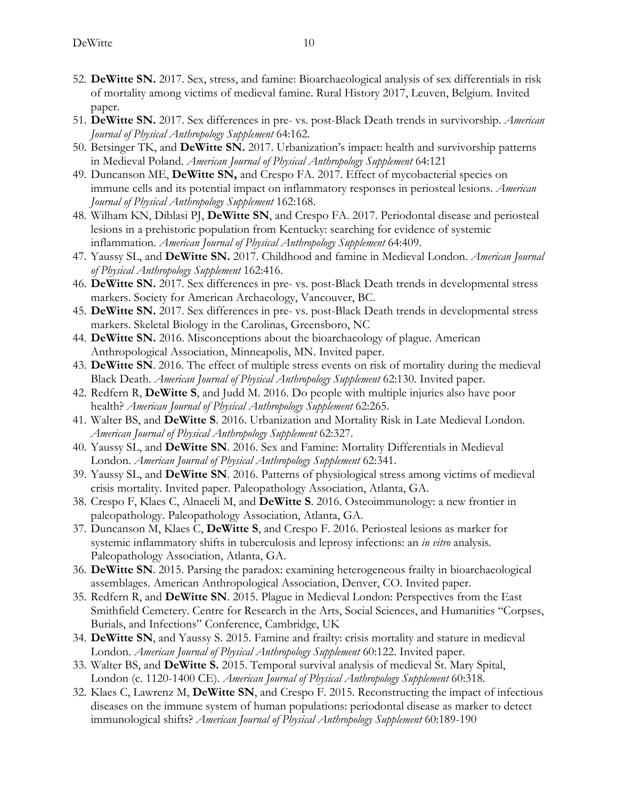- 52. **DeWitte SN.** 2017. Sex, stress, and famine: Bioarchaeological analysis of sex differentials in risk of mortality among victims of medieval famine. Rural History 2017, Leuven, Belgium. Invited paper.
- 51. **DeWitte SN.** 2017. Sex differences in pre- vs. post-Black Death trends in survivorship. *American Journal of Physical Anthropology Supplement* 64:162.
- 50. Betsinger TK, and **DeWitte SN.** 2017. Urbanization's impact: health and survivorship patterns in Medieval Poland. *American Journal of Physical Anthropology Supplement* 64:121
- 49. Duncanson ME, **DeWitte SN,** and Crespo FA. 2017. Effect of mycobacterial species on immune cells and its potential impact on inflammatory responses in periosteal lesions. *American Journal of Physical Anthropology Supplement* 162:168.
- 48. Wilham KN, Diblasi PJ, **DeWitte SN**, and Crespo FA. 2017. Periodontal disease and periosteal lesions in a prehistoric population from Kentucky: searching for evidence of systemic inflammation. *American Journal of Physical Anthropology Supplement* 64:409.
- 47. Yaussy SL, and **DeWitte SN.** 2017. Childhood and famine in Medieval London. *American Journal of Physical Anthropology Supplement* 162:416.
- 46. **DeWitte SN.** 2017. Sex differences in pre- vs. post-Black Death trends in developmental stress markers. Society for American Archaeology, Vancouver, BC.
- 45. **DeWitte SN.** 2017. Sex differences in pre- vs. post-Black Death trends in developmental stress markers. Skeletal Biology in the Carolinas, Greensboro, NC
- 44. **DeWitte SN.** 2016. Misconceptions about the bioarchaeology of plague. American Anthropological Association, Minneapolis, MN. Invited paper.
- 43. **DeWitte SN**. 2016. The effect of multiple stress events on risk of mortality during the medieval Black Death. *American Journal of Physical Anthropology Supplement* 62:130. Invited paper.
- 42. Redfern R, **DeWitte S**, and Judd M. 2016. Do people with multiple injuries also have poor health? *American Journal of Physical Anthropology Supplement* 62:265.
- 41. Walter BS, and **DeWitte S**. 2016. Urbanization and Mortality Risk in Late Medieval London. *American Journal of Physical Anthropology Supplement* 62:327.
- 40. Yaussy SL, and **DeWitte SN**. 2016. Sex and Famine: Mortality Differentials in Medieval London. *American Journal of Physical Anthropology Supplement* 62:341.
- 39. Yaussy SL, and **DeWitte SN**. 2016. Patterns of physiological stress among victims of medieval crisis mortality. Invited paper. Paleopathology Association, Atlanta, GA.
- 38. Crespo F, Klaes C, Alnaeeli M, and **DeWitte S**. 2016. Osteoimmunology: a new frontier in paleopathology. Paleopathology Association, Atlanta, GA.
- 37. Duncanson M, Klaes C, **DeWitte S**, and Crespo F. 2016. Periosteal lesions as marker for systemic inflammatory shifts in tuberculosis and leprosy infections: an *in vitro* analysis. Paleopathology Association, Atlanta, GA.
- 36. **DeWitte SN**. 2015. Parsing the paradox: examining heterogeneous frailty in bioarchaeological assemblages. American Anthropological Association, Denver, CO. Invited paper.
- 35. Redfern R, and **DeWitte SN**. 2015. Plague in Medieval London: Perspectives from the East Smithfield Cemetery. Centre for Research in the Arts, Social Sciences, and Humanities "Corpses, Burials, and Infections" Conference, Cambridge, UK
- 34. **DeWitte SN**, and Yaussy S. 2015. Famine and frailty: crisis mortality and stature in medieval London. *American Journal of Physical Anthropology Supplement* 60:122. Invited paper.
- 33. Walter BS, and **DeWitte S.** 2015. Temporal survival analysis of medieval St. Mary Spital, London (c. 1120-1400 CE). *American Journal of Physical Anthropology Supplement* 60:318.
- 32. Klaes C, Lawrenz M, **DeWitte SN**, and Crespo F. 2015. Reconstructing the impact of infectious diseases on the immune system of human populations: periodontal disease as marker to detect immunological shifts? *American Journal of Physical Anthropology Supplement* 60:189-190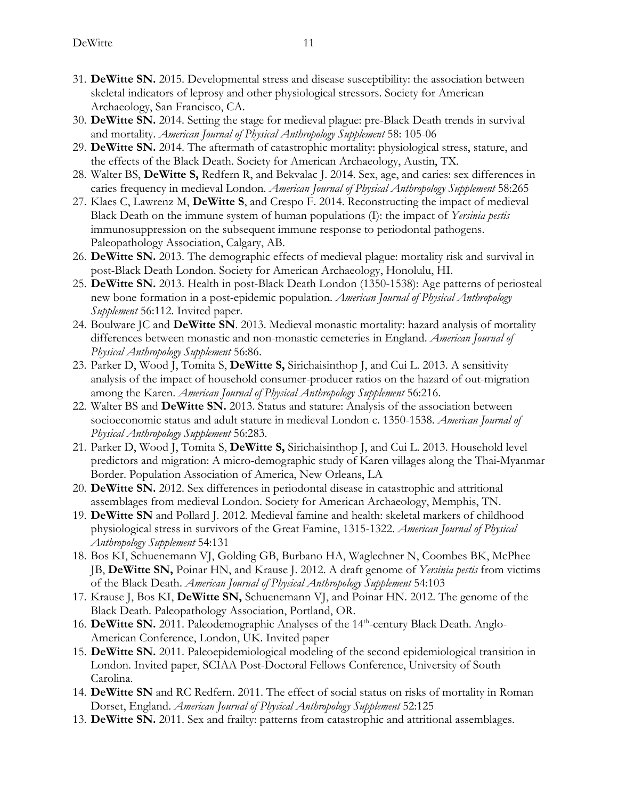- 31. **DeWitte SN.** 2015. Developmental stress and disease susceptibility: the association between skeletal indicators of leprosy and other physiological stressors. Society for American Archaeology, San Francisco, CA.
- 30. **DeWitte SN.** 2014. Setting the stage for medieval plague: pre-Black Death trends in survival and mortality. *American Journal of Physical Anthropology Supplement* 58: 105-06
- 29. **DeWitte SN.** 2014. The aftermath of catastrophic mortality: physiological stress, stature, and the effects of the Black Death. Society for American Archaeology, Austin, TX.
- 28. Walter BS, **DeWitte S,** Redfern R, and Bekvalac J. 2014. Sex, age, and caries: sex differences in caries frequency in medieval London. *American Journal of Physical Anthropology Supplement* 58:265
- 27. Klaes C, Lawrenz M, **DeWitte S**, and Crespo F. 2014. Reconstructing the impact of medieval Black Death on the immune system of human populations (I): the impact of *Yersinia pestis* immunosuppression on the subsequent immune response to periodontal pathogens. Paleopathology Association, Calgary, AB.
- 26. **DeWitte SN.** 2013. The demographic effects of medieval plague: mortality risk and survival in post-Black Death London. Society for American Archaeology, Honolulu, HI.
- 25. **DeWitte SN.** 2013. Health in post-Black Death London (1350-1538): Age patterns of periosteal new bone formation in a post-epidemic population. *American Journal of Physical Anthropology Supplement* 56:112. Invited paper.
- 24. Boulware JC and **DeWitte SN**. 2013. Medieval monastic mortality: hazard analysis of mortality differences between monastic and non-monastic cemeteries in England. *American Journal of Physical Anthropology Supplement* 56:86.
- 23. Parker D, Wood J, Tomita S, **DeWitte S,** Sirichaisinthop J, and Cui L. 2013. A sensitivity analysis of the impact of household consumer-producer ratios on the hazard of out-migration among the Karen. *American Journal of Physical Anthropology Supplement* 56:216.
- 22. Walter BS and **DeWitte SN.** 2013. Status and stature: Analysis of the association between socioeconomic status and adult stature in medieval London c. 1350-1538. *American Journal of Physical Anthropology Supplement* 56:283.
- 21. Parker D, Wood J, Tomita S, **DeWitte S,** Sirichaisinthop J, and Cui L. 2013. Household level predictors and migration: A micro-demographic study of Karen villages along the Thai-Myanmar Border. Population Association of America, New Orleans, LA
- 20. **DeWitte SN.** 2012. Sex differences in periodontal disease in catastrophic and attritional assemblages from medieval London. Society for American Archaeology, Memphis, TN.
- 19. **DeWitte SN** and Pollard J. 2012. Medieval famine and health: skeletal markers of childhood physiological stress in survivors of the Great Famine, 1315-1322. *American Journal of Physical Anthropology Supplement* 54:131
- 18. Bos KI, Schuenemann VJ, Golding GB, Burbano HA, Waglechner N, Coombes BK, McPhee JB, **DeWitte SN,** Poinar HN, and Krause J. 2012. A draft genome of *Yersinia pestis* from victims of the Black Death. *American Journal of Physical Anthropology Supplement* 54:103
- 17. Krause J, Bos KI, **DeWitte SN,** Schuenemann VJ, and Poinar HN. 2012. The genome of the Black Death. Paleopathology Association, Portland, OR.
- 16. **DeWitte SN.** 2011. Paleodemographic Analyses of the 14<sup>th</sup>-century Black Death. Anglo-American Conference, London, UK. Invited paper
- 15. **DeWitte SN.** 2011. Paleoepidemiological modeling of the second epidemiological transition in London. Invited paper, SCIAA Post-Doctoral Fellows Conference, University of South Carolina.
- 14. **DeWitte SN** and RC Redfern. 2011. The effect of social status on risks of mortality in Roman Dorset, England. *American Journal of Physical Anthropology Supplement* 52:125
- 13. **DeWitte SN.** 2011. Sex and frailty: patterns from catastrophic and attritional assemblages.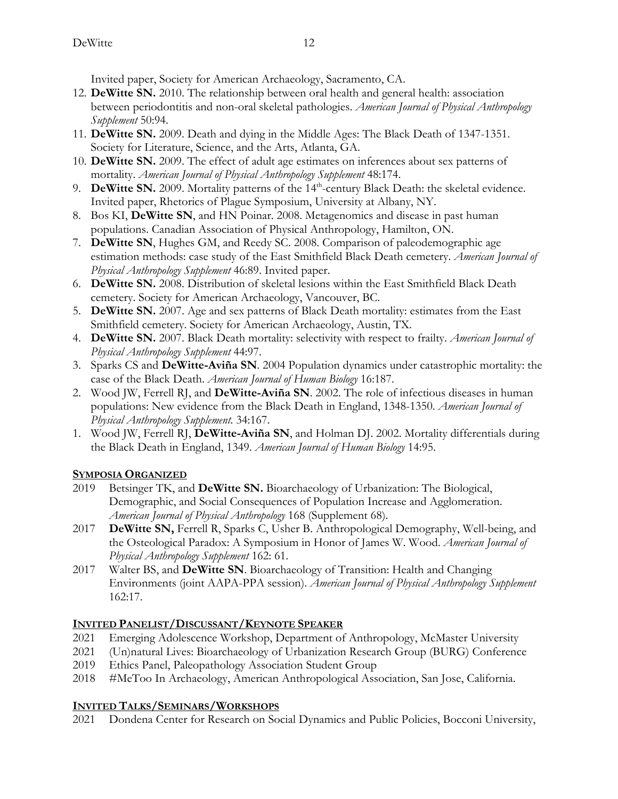Invited paper, Society for American Archaeology, Sacramento, CA.

- 12. **DeWitte SN.** 2010. The relationship between oral health and general health: association between periodontitis and non-oral skeletal pathologies. *American Journal of Physical Anthropology Supplement* 50:94.
- 11. **DeWitte SN.** 2009. Death and dying in the Middle Ages: The Black Death of 1347-1351. Society for Literature, Science, and the Arts, Atlanta, GA.
- 10. **DeWitte SN.** 2009. The effect of adult age estimates on inferences about sex patterns of mortality. *American Journal of Physical Anthropology Supplement* 48:174.
- 9. **DeWitte SN.** 2009. Mortality patterns of the 14<sup>th</sup>-century Black Death: the skeletal evidence. Invited paper, Rhetorics of Plague Symposium, University at Albany, NY.
- 8. Bos KI, **DeWitte SN**, and HN Poinar. 2008. Metagenomics and disease in past human populations. Canadian Association of Physical Anthropology, Hamilton, ON.
- 7. **DeWitte SN**, Hughes GM, and Reedy SC. 2008. Comparison of paleodemographic age estimation methods: case study of the East Smithfield Black Death cemetery. *American Journal of Physical Anthropology Supplement* 46:89. Invited paper.
- 6. **DeWitte SN.** 2008. Distribution of skeletal lesions within the East Smithfield Black Death cemetery. Society for American Archaeology, Vancouver, BC.
- 5. **DeWitte SN.** 2007. Age and sex patterns of Black Death mortality: estimates from the East Smithfield cemetery. Society for American Archaeology, Austin, TX.
- 4. **DeWitte SN.** 2007. Black Death mortality: selectivity with respect to frailty. *American Journal of Physical Anthropology Supplement* 44:97.
- 3. Sparks CS and **DeWitte-Aviña SN**. 2004 Population dynamics under catastrophic mortality: the case of the Black Death. *American Journal of Human Biology* 16:187.
- 2. Wood JW, Ferrell RJ, and **DeWitte-Aviña SN**. 2002. The role of infectious diseases in human populations: New evidence from the Black Death in England, 1348-1350. *American Journal of Physical Anthropology Supplement.* 34:167.
- 1. Wood JW, Ferrell RJ, **DeWitte-Aviña SN**, and Holman DJ. 2002. Mortality differentials during the Black Death in England, 1349. *American Journal of Human Biology* 14:95.

# **SYMPOSIA ORGANIZED**

- 2019 Betsinger TK, and **DeWitte SN.** Bioarchaeology of Urbanization: The Biological, Demographic, and Social Consequences of Population Increase and Agglomeration. *American Journal of Physical Anthropology* 168 (Supplement 68).
- 2017 **DeWitte SN,** Ferrell R, Sparks C, Usher B. Anthropological Demography, Well-being, and the Osteological Paradox: A Symposium in Honor of James W. Wood. *American Journal of Physical Anthropology Supplement* 162: 61.
- 2017 Walter BS, and **DeWitte SN**. Bioarchaeology of Transition: Health and Changing Environments (joint AAPA-PPA session). *American Journal of Physical Anthropology Supplement* 162:17.

# **INVITED PANELIST/DISCUSSANT/KEYNOTE SPEAKER**

- 2021 Emerging Adolescence Workshop, Department of Anthropology, McMaster University
- 2021 (Un)natural Lives: Bioarchaeology of Urbanization Research Group (BURG) Conference
- 2019 Ethics Panel, Paleopathology Association Student Group
- 2018 #MeToo In Archaeology, American Anthropological Association, San Jose, California.

# **INVITED TALKS/SEMINARS/WORKSHOPS**

2021 Dondena Center for Research on Social Dynamics and Public Policies, Bocconi University,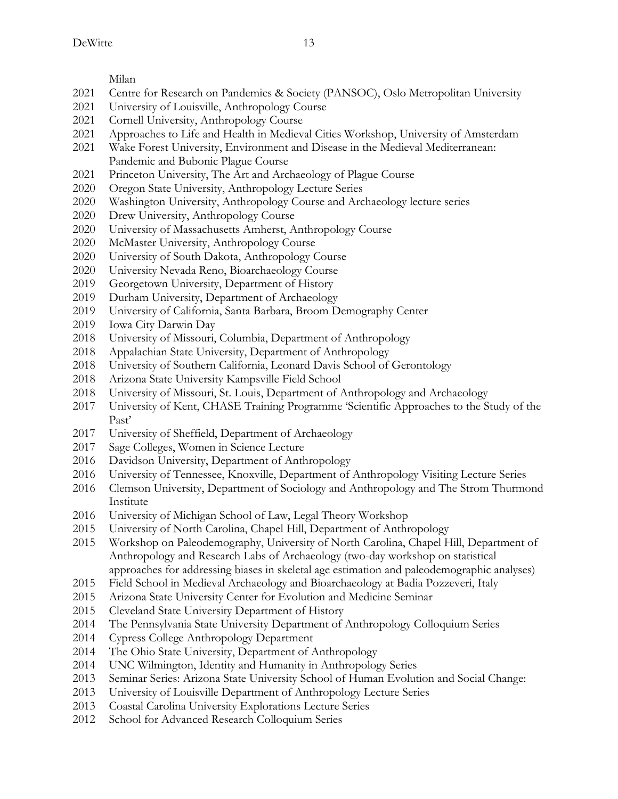Milan

- Centre for Research on Pandemics & Society (PANSOC), Oslo Metropolitan University
- 2021 University of Louisville, Anthropology Course
- Cornell University, Anthropology Course
- Approaches to Life and Health in Medieval Cities Workshop, University of Amsterdam
- Wake Forest University, Environment and Disease in the Medieval Mediterranean: Pandemic and Bubonic Plague Course
- Princeton University, The Art and Archaeology of Plague Course
- Oregon State University, Anthropology Lecture Series
- Washington University, Anthropology Course and Archaeology lecture series
- Drew University, Anthropology Course
- University of Massachusetts Amherst, Anthropology Course
- McMaster University, Anthropology Course
- University of South Dakota, Anthropology Course
- University Nevada Reno, Bioarchaeology Course
- Georgetown University, Department of History
- Durham University, Department of Archaeology
- University of California, Santa Barbara, Broom Demography Center
- Iowa City Darwin Day
- University of Missouri, Columbia, Department of Anthropology
- Appalachian State University, Department of Anthropology
- University of Southern California, Leonard Davis School of Gerontology
- Arizona State University Kampsville Field School
- University of Missouri, St. Louis, Department of Anthropology and Archaeology
- University of Kent, CHASE Training Programme 'Scientific Approaches to the Study of the Past'
- University of Sheffield, Department of Archaeology
- Sage Colleges, Women in Science Lecture
- 2016 Davidson University, Department of Anthropology
- University of Tennessee, Knoxville, Department of Anthropology Visiting Lecture Series
- Clemson University, Department of Sociology and Anthropology and The Strom Thurmond Institute
- University of Michigan School of Law, Legal Theory Workshop
- University of North Carolina, Chapel Hill, Department of Anthropology
- Workshop on Paleodemography, University of North Carolina, Chapel Hill, Department of Anthropology and Research Labs of Archaeology (two-day workshop on statistical approaches for addressing biases in skeletal age estimation and paleodemographic analyses)
- 2015 Field School in Medieval Archaeology and Bioarchaeology at Badia Pozzeveri, Italy
- Arizona State University Center for Evolution and Medicine Seminar
- Cleveland State University Department of History
- The Pennsylvania State University Department of Anthropology Colloquium Series
- 2014 Cypress College Anthropology Department
- The Ohio State University, Department of Anthropology
- UNC Wilmington, Identity and Humanity in Anthropology Series
- Seminar Series: Arizona State University School of Human Evolution and Social Change:
- University of Louisville Department of Anthropology Lecture Series
- 2013 Coastal Carolina University Explorations Lecture Series
- 2012 School for Advanced Research Colloquium Series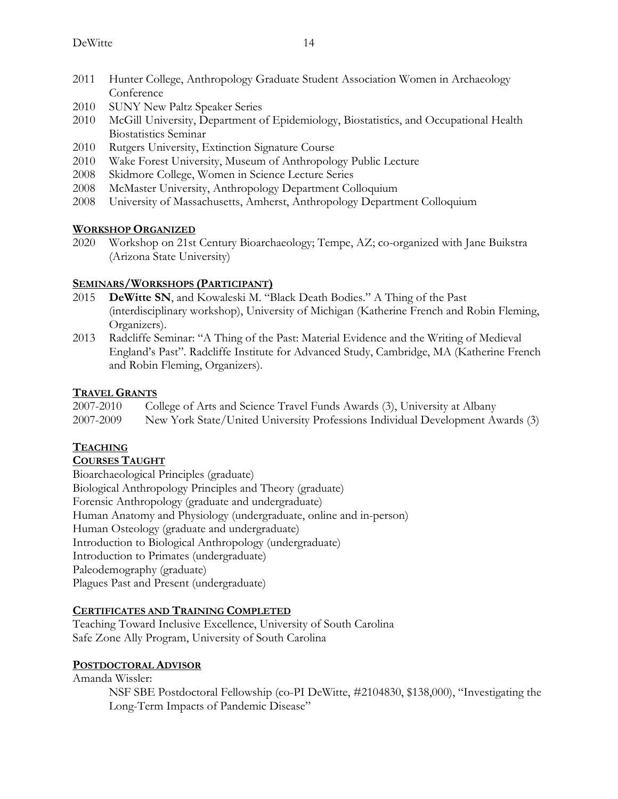- 2011 Hunter College, Anthropology Graduate Student Association Women in Archaeology Conference
- 2010 SUNY New Paltz Speaker Series
- 2010 McGill University, Department of Epidemiology, Biostatistics, and Occupational Health Biostatistics Seminar
- 2010 Rutgers University, Extinction Signature Course
- 2010 Wake Forest University, Museum of Anthropology Public Lecture
- 2008 Skidmore College, Women in Science Lecture Series
- 2008 McMaster University, Anthropology Department Colloquium
- 2008 University of Massachusetts, Amherst, Anthropology Department Colloquium

#### **WORKSHOP ORGANIZED**

2020 Workshop on 21st Century Bioarchaeology; Tempe, AZ; co-organized with Jane Buikstra (Arizona State University)

#### **SEMINARS/WORKSHOPS (PARTICIPANT)**

- 2015 **DeWitte SN**, and Kowaleski M. "Black Death Bodies." A Thing of the Past (interdisciplinary workshop), University of Michigan (Katherine French and Robin Fleming, Organizers).
- 2013 Radcliffe Seminar: "A Thing of the Past: Material Evidence and the Writing of Medieval England's Past". Radcliffe Institute for Advanced Study, Cambridge, MA (Katherine French and Robin Fleming, Organizers).

### **TRAVEL GRANTS**

2007-2010 College of Arts and Science Travel Funds Awards (3), University at Albany 2007-2009 New York State/United University Professions Individual Development Awards (3)

# **TEACHING**

#### **COURSES TAUGHT**

Bioarchaeological Principles (graduate) Biological Anthropology Principles and Theory (graduate) Forensic Anthropology (graduate and undergraduate) Human Anatomy and Physiology (undergraduate, online and in-person) Human Osteology (graduate and undergraduate) Introduction to Biological Anthropology (undergraduate) Introduction to Primates (undergraduate) Paleodemography (graduate) Plagues Past and Present (undergraduate)

#### **CERTIFICATES AND TRAINING COMPLETED**

Teaching Toward Inclusive Excellence, University of South Carolina Safe Zone Ally Program, University of South Carolina

#### **POSTDOCTORAL ADVISOR**

#### Amanda Wissler:

NSF SBE Postdoctoral Fellowship (co-PI DeWitte, #2104830, \$138,000), "Investigating the Long-Term Impacts of Pandemic Disease"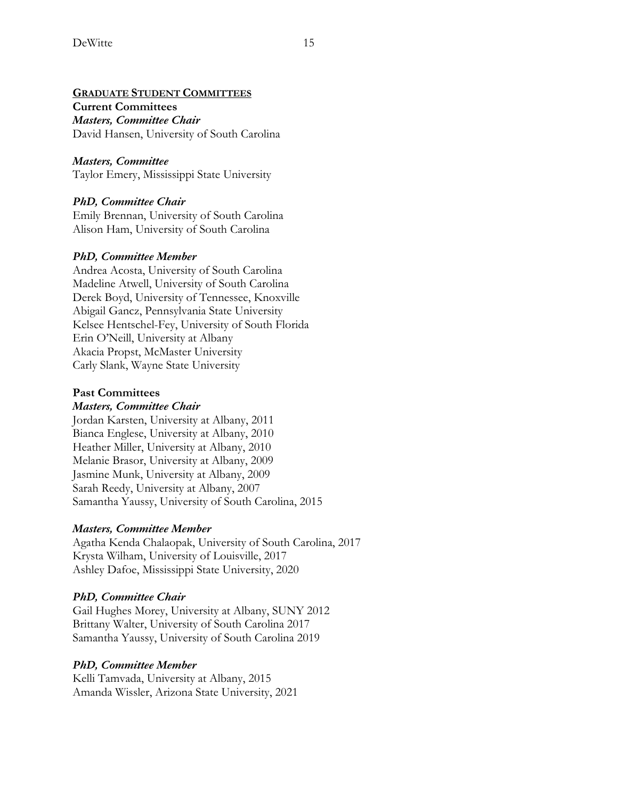#### **GRADUATE STUDENT COMMITTEES**

### **Current Committees**

*Masters, Committee Chair* David Hansen, University of South Carolina

### *Masters, Committee*

Taylor Emery, Mississippi State University

## *PhD, Committee Chair*

Emily Brennan, University of South Carolina Alison Ham, University of South Carolina

#### *PhD, Committee Member*

Andrea Acosta, University of South Carolina Madeline Atwell, University of South Carolina Derek Boyd, University of Tennessee, Knoxville Abigail Gancz, Pennsylvania State University Kelsee Hentschel-Fey, University of South Florida Erin O'Neill, University at Albany Akacia Propst, McMaster University Carly Slank, Wayne State University

## **Past Committees**

#### *Masters, Committee Chair*

Jordan Karsten, University at Albany, 2011 Bianca Englese, University at Albany, 2010 Heather Miller, University at Albany, 2010 Melanie Brasor, University at Albany, 2009 Jasmine Munk, University at Albany, 2009 Sarah Reedy, University at Albany, 2007 Samantha Yaussy, University of South Carolina, 2015

# *Masters, Committee Member*

Agatha Kenda Chalaopak, University of South Carolina, 2017 Krysta Wilham, University of Louisville, 2017 Ashley Dafoe, Mississippi State University, 2020

# *PhD, Committee Chair*

Gail Hughes Morey, University at Albany, SUNY 2012 Brittany Walter, University of South Carolina 2017 Samantha Yaussy, University of South Carolina 2019

#### *PhD, Committee Member*

Kelli Tamvada, University at Albany, 2015 Amanda Wissler, Arizona State University, 2021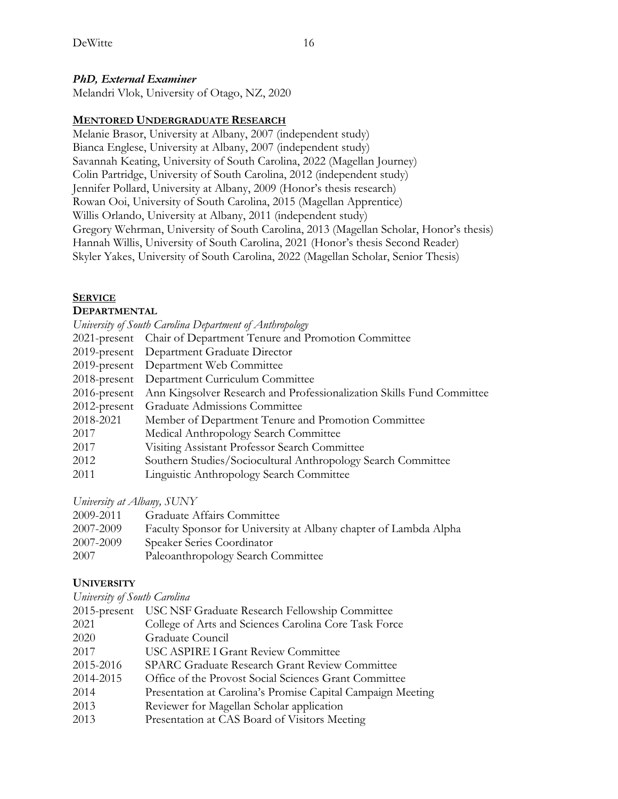## *PhD, External Examiner*

Melandri Vlok, University of Otago, NZ, 2020

### **MENTORED UNDERGRADUATE RESEARCH**

Melanie Brasor, University at Albany, 2007 (independent study) Bianca Englese, University at Albany, 2007 (independent study) Savannah Keating, University of South Carolina, 2022 (Magellan Journey) Colin Partridge, University of South Carolina, 2012 (independent study) Jennifer Pollard, University at Albany, 2009 (Honor's thesis research) Rowan Ooi, University of South Carolina, 2015 (Magellan Apprentice) Willis Orlando, University at Albany, 2011 (independent study) Gregory Wehrman, University of South Carolina, 2013 (Magellan Scholar, Honor's thesis) Hannah Willis, University of South Carolina, 2021 (Honor's thesis Second Reader) Skyler Yakes, University of South Carolina, 2022 (Magellan Scholar, Senior Thesis)

## **SERVICE**

#### **DEPARTMENTAL**

|           | University of South Carolina Department of Anthropology                            |
|-----------|------------------------------------------------------------------------------------|
|           | 2021-present Chair of Department Tenure and Promotion Committee                    |
|           | 2019-present Department Graduate Director                                          |
|           | 2019-present Department Web Committee                                              |
|           | 2018-present Department Curriculum Committee                                       |
|           | 2016-present Ann Kingsolver Research and Professionalization Skills Fund Committee |
|           | 2012-present Graduate Admissions Committee                                         |
| 2018-2021 | Member of Department Tenure and Promotion Committee                                |
| 2017      | Medical Anthropology Search Committee                                              |
| 2017      | Visiting Assistant Professor Search Committee                                      |
| 2012      | Southern Studies/Sociocultural Anthropology Search Committee                       |
| 2011      | <b>Linguistic Anthropology Search Committee</b>                                    |
|           |                                                                                    |

*University at Albany, SUNY*

| 2009-2011 | Graduate Affairs Committee                                       |
|-----------|------------------------------------------------------------------|
| 2007-2009 | Faculty Sponsor for University at Albany chapter of Lambda Alpha |
| 2007-2009 | Speaker Series Coordinator                                       |
| 2007      | Paleoanthropology Search Committee                               |

# **UNIVERSITY**

*University of South Carolina*

| USC NSF Graduate Research Fellowship Committee              |
|-------------------------------------------------------------|
| College of Arts and Sciences Carolina Core Task Force       |
| Graduate Council                                            |
| USC ASPIRE I Grant Review Committee                         |
| <b>SPARC Graduate Research Grant Review Committee</b>       |
| Office of the Provost Social Sciences Grant Committee       |
| Presentation at Carolina's Promise Capital Campaign Meeting |
| Reviewer for Magellan Scholar application                   |
| Presentation at CAS Board of Visitors Meeting               |
|                                                             |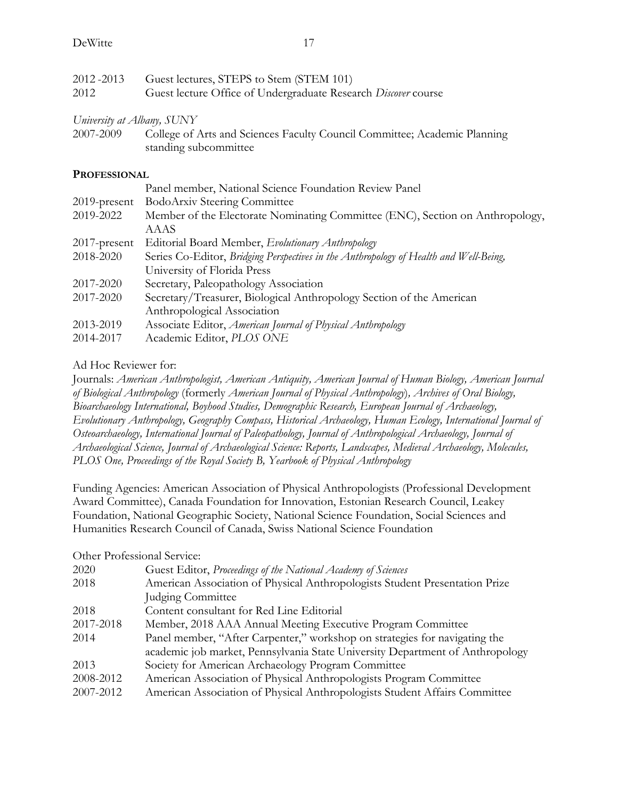| 2012-2013<br>2012          | Guest lectures, STEPS to Stem (STEM 101)<br>Guest lecture Office of Undergraduate Research Discover course           |
|----------------------------|----------------------------------------------------------------------------------------------------------------------|
| University at Albany, SUNY |                                                                                                                      |
| 2007-2009                  | College of Arts and Sciences Faculty Council Committee; Academic Planning<br>standing subcommittee                   |
| <b>PROFESSIONAL</b>        |                                                                                                                      |
|                            | Panel member, National Science Foundation Review Panel                                                               |
| $2019$ -present            | BodoArxiv Steering Committee                                                                                         |
| 2019-2022                  | Member of the Electorate Nominating Committee (ENC), Section on Anthropology,<br><b>AAAS</b>                         |
| $2017$ -present            | Editorial Board Member, Evolutionary Anthropology                                                                    |
| 2018-2020                  | Series Co-Editor, Bridging Perspectives in the Anthropology of Health and Well-Being,<br>University of Florida Press |
| 2017-2020                  | Secretary, Paleopathology Association                                                                                |
| 2017-2020                  | Secretary/Treasurer, Biological Anthropology Section of the American<br>Anthropological Association                  |
| 2013-2019                  | Associate Editor, American Journal of Physical Anthropology                                                          |
| 2014-2017                  | Academic Editor, PLOS ONE                                                                                            |
| $\lambda$ 1 T T T T        |                                                                                                                      |

# Ad Hoc Reviewer for:

Journals: *American Anthropologist, American Antiquity, American Journal of Human Biology, American Journal of Biological Anthropology* (formerly *American Journal of Physical Anthropology*)*, Archives of Oral Biology, Bioarchaeology International, Boyhood Studies, Demographic Research, European Journal of Archaeology, Evolutionary Anthropology, Geography Compass, Historical Archaeology, Human Ecology, International Journal of Osteoarchaeology, International Journal of Paleopathology, Journal of Anthropological Archaeology, Journal of Archaeological Science, Journal of Archaeological Science: Reports, Landscapes, Medieval Archaeology, Molecules, PLOS One, Proceedings of the Royal Society B, Yearbook of Physical Anthropology*

Funding Agencies: American Association of Physical Anthropologists (Professional Development Award Committee), Canada Foundation for Innovation, Estonian Research Council, Leakey Foundation, National Geographic Society, National Science Foundation, Social Sciences and Humanities Research Council of Canada, Swiss National Science Foundation

# Other Professional Service:

| 2020      | Guest Editor, Proceedings of the National Academy of Sciences                 |
|-----------|-------------------------------------------------------------------------------|
| 2018      | American Association of Physical Anthropologists Student Presentation Prize   |
|           | Judging Committee                                                             |
| 2018      | Content consultant for Red Line Editorial                                     |
| 2017-2018 | Member, 2018 AAA Annual Meeting Executive Program Committee                   |
| 2014      | Panel member, "After Carpenter," workshop on strategies for navigating the    |
|           | academic job market, Pennsylvania State University Department of Anthropology |
| 2013      | Society for American Archaeology Program Committee                            |
| 2008-2012 | American Association of Physical Anthropologists Program Committee            |
| 2007-2012 | American Association of Physical Anthropologists Student Affairs Committee    |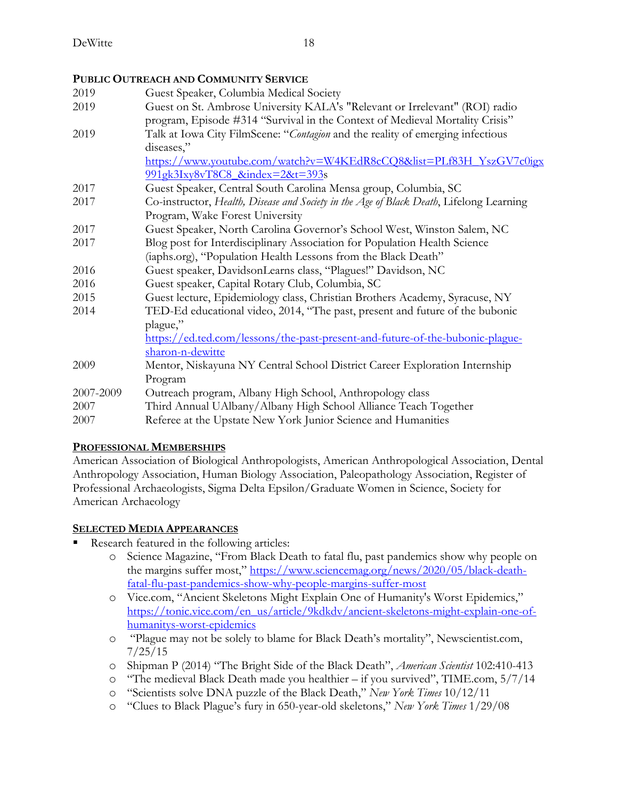## **PUBLIC OUTREACH AND COMMUNITY SERVICE**

| 2019      | Guest Speaker, Columbia Medical Society                                                 |
|-----------|-----------------------------------------------------------------------------------------|
| 2019      | Guest on St. Ambrose University KALA's "Relevant or Irrelevant" (ROI) radio             |
|           | program, Episode #314 "Survival in the Context of Medieval Mortality Crisis"            |
| 2019      | Talk at Iowa City FilmScene: "Contagion and the reality of emerging infectious          |
|           | diseases,"                                                                              |
|           | https://www.youtube.com/watch?v=W4KEdR8cCQ8&list=PLf83H_YszGV7c0igx                     |
|           | 991gk3Ixy8vT8C8 &index=2&t=393s                                                         |
| 2017      | Guest Speaker, Central South Carolina Mensa group, Columbia, SC                         |
| 2017      | Co-instructor, Health, Disease and Society in the Age of Black Death, Lifelong Learning |
|           | Program, Wake Forest University                                                         |
| 2017      | Guest Speaker, North Carolina Governor's School West, Winston Salem, NC                 |
| 2017      | Blog post for Interdisciplinary Association for Population Health Science               |
|           | (iaphs.org), "Population Health Lessons from the Black Death"                           |
| 2016      | Guest speaker, DavidsonLearns class, "Plagues!" Davidson, NC                            |
| 2016      | Guest speaker, Capital Rotary Club, Columbia, SC                                        |
| 2015      | Guest lecture, Epidemiology class, Christian Brothers Academy, Syracuse, NY             |
| 2014      | TED-Ed educational video, 2014, "The past, present and future of the bubonic            |
|           | plague,"                                                                                |
|           | https://ed.ted.com/lessons/the-past-present-and-future-of-the-bubonic-plague-           |
|           | sharon-n-dewitte                                                                        |
| 2009      | Mentor, Niskayuna NY Central School District Career Exploration Internship              |
|           | Program                                                                                 |
| 2007-2009 | Outreach program, Albany High School, Anthropology class                                |
| 2007      | Third Annual UAlbany/Albany High School Alliance Teach Together                         |
| 2007      | Referee at the Upstate New York Junior Science and Humanities                           |
|           |                                                                                         |

#### **PROFESSIONAL MEMBERSHIPS**

American Association of Biological Anthropologists, American Anthropological Association, Dental Anthropology Association, Human Biology Association, Paleopathology Association, Register of Professional Archaeologists, Sigma Delta Epsilon/Graduate Women in Science, Society for American Archaeology

#### **SELECTED MEDIA APPEARANCES**

- Research featured in the following articles:
	- o Science Magazine, "From Black Death to fatal flu, past pandemics show why people on the margins suffer most," https://www.sciencemag.org/news/2020/05/black-deathfatal-flu-past-pandemics-show-why-people-margins-suffer-most
	- o Vice.com, "Ancient Skeletons Might Explain One of Humanity's Worst Epidemics," https://tonic.vice.com/en\_us/article/9kdkdv/ancient-skeletons-might-explain-one-ofhumanitys-worst-epidemics
	- o "Plague may not be solely to blame for Black Death's mortality", Newscientist.com, 7/25/15
	- o Shipman P (2014) "The Bright Side of the Black Death", *American Scientist* 102:410-413
	- o "The medieval Black Death made you healthier if you survived", TIME.com, 5/7/14
	- o "Scientists solve DNA puzzle of the Black Death," *New York Times* 10/12/11
	- o "Clues to Black Plague's fury in 650-year-old skeletons," *New York Times* 1/29/08